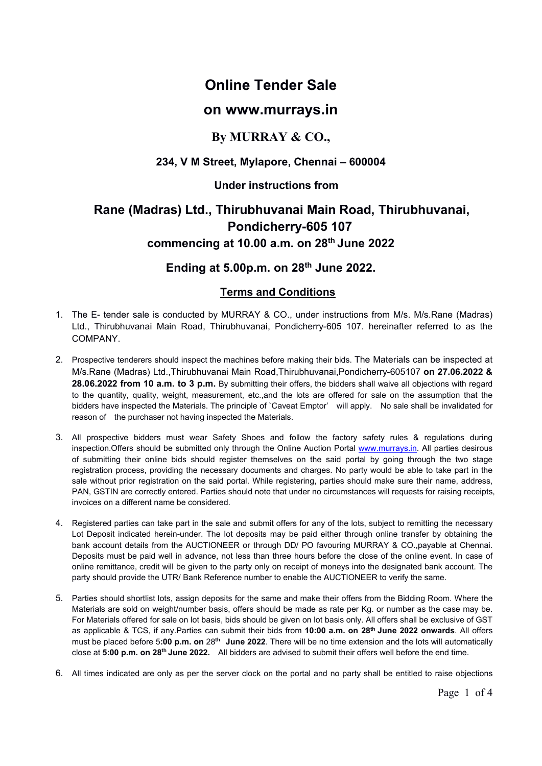# **Online Tender Sale**

### **on www.murrays.in**

## **By MURRAY & CO.,**

### **234, V M Street, Mylapore, Chennai – 600004**

#### **Under instructions from**

## **Rane (Madras) Ltd., Thirubhuvanai Main Road, Thirubhuvanai, Pondicherry-605 107 commencing at 10.00 a.m. on 28 th June 2022**

## **Ending at 5.00p.m. on 28 th June 2022.**

#### **Terms and Conditions**

- 1. The E- tender sale is conducted by MURRAY & CO., under instructions from M/s. M/s.Rane (Madras) Ltd., Thirubhuvanai Main Road, Thirubhuvanai, Pondicherry-605 107. hereinafter referred to as the COMPANY.
- 2. Prospective tenderers should inspect the machines before making their bids. The Materials can be inspected at M/s.Rane (Madras) Ltd.,Thirubhuvanai Main Road,Thirubhuvanai,Pondicherry-605107 **on 27.06.2022 & 28.06.2022 from 10 a.m. to 3 p.m.** By submitting their offers, the bidders shall waive all objections with regard to the quantity, quality, weight, measurement, etc.,and the lots are offered for sale on the assumption that the bidders have inspected the Materials. The principle of `Caveat Emptor' will apply. No sale shall be invalidated for reason of the purchaser not having inspected the Materials.
- 3. All prospective bidders must wear Safety Shoes and follow the factory safety rules & regulations during inspection.Offers should be submitted only through the Online Auction Portal [www.murrays.in.](http://www.murrays.in/) All parties desirous of submitting their online bids should register themselves on the said portal by going through the two stage registration process, providing the necessary documents and charges. No party would be able to take part in the sale without prior registration on the said portal. While registering, parties should make sure their name, address, PAN, GSTIN are correctly entered. Parties should note that under no circumstances will requests for raising receipts, invoices on a different name be considered.
- 4. Registered parties can take part in the sale and submit offers for any of the lots, subject to remitting the necessary Lot Deposit indicated herein-under. The lot deposits may be paid either through online transfer by obtaining the bank account details from the AUCTIONEER or through DD/ PO favouring MURRAY & CO.,payable at Chennai. Deposits must be paid well in advance, not less than three hours before the close of the online event. In case of online remittance, credit will be given to the party only on receipt of moneys into the designated bank account. The party should provide the UTR/ Bank Reference number to enable the AUCTIONEER to verify the same.
- 5. Parties should shortlist lots, assign deposits for the same and make their offers from the Bidding Room. Where the Materials are sold on weight/number basis, offers should be made as rate per Kg. or number as the case may be. For Materials offered for sale on lot basis, bids should be given on lot basis only. All offers shall be exclusive of GST as applicable & TCS, if any.Parties can submit their bids from **10:00 a.m. on 28 th June 2022 onwards**. All offers must be placed before 5**:00 p.m. on** 28 **th June 2022**. There will be no time extension and the lots will automatically close at **5:00 p.m. on 28 th June 2022.** All bidders are advised to submit their offers well before the end time.
- 6. All times indicated are only as perthe server clock on the portal and no party shall be entitled to raise objections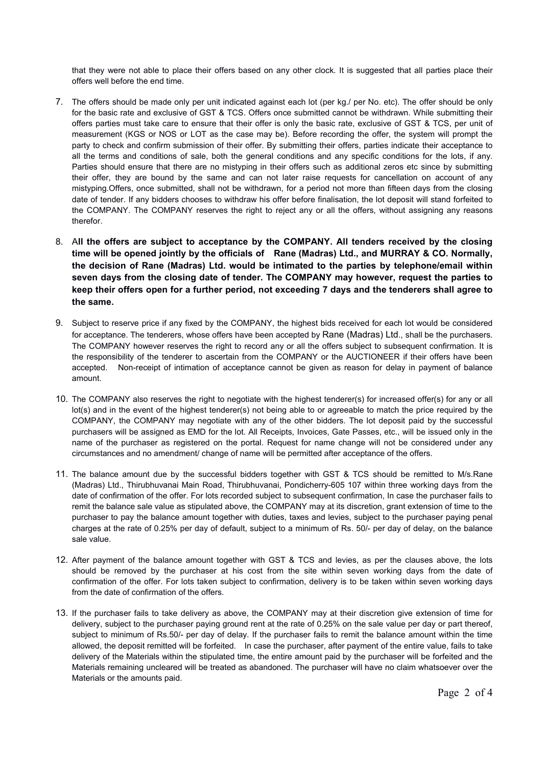that they were not able to place their offers based on any other clock. It is suggested that all parties place their offers well before the end time.

- 7. The offers should be made only per unit indicated against each lot (per kg./ per No. etc). The offer should be only for the basic rate and exclusive of GST & TCS. Offers once submitted cannot be withdrawn. While submitting their offers parties must take care to ensure that their offer is only the basic rate, exclusive of GST & TCS, per unit of measurement (KGS or NOS or LOT as the case may be). Before recording the offer, the system will prompt the party to check and confirm submission of their offer. By submitting their offers, parties indicate their acceptance to all the terms and conditions of sale, both the general conditions and any specific conditions for the lots, if any. Parties should ensure that there are no mistyping in their offers such as additional zeros etc since by submitting their offer, they are bound by the same and can not later raise requests for cancellation on account of any mistyping.Offers, once submitted, shall not be withdrawn, for a period not more than fifteen days from the closing date of tender. If any bidders chooses to withdraw his offer before finalisation, the lot deposit will stand forfeited to the COMPANY. The COMPANY reserves the right to reject any or all the offers, without assigning any reasons therefor.
- 8. A**ll the offers are subject to acceptance by the COMPANY. All tenders received by the closing time will be opened jointly by the officials of Rane (Madras) Ltd., and MURRAY & CO. Normally, the decision of Rane (Madras) Ltd. would be intimated to the parties by telephone/email within seven days from the closing date of tender. The COMPANY may however, request the parties to keep their offers open for a further period, not exceeding 7 days and the tenderers shall agree to the same.**
- 9. Subject to reserve price if any fixed by the COMPANY, the highest bids received for each lot would be considered for acceptance. The tenderers, whose offers have been accepted by Rane (Madras) Ltd., shall be the purchasers. The COMPANY however reserves the right to record any or all the offers subject to subsequent confirmation. It is the responsibility of the tenderer to ascertain from the COMPANY or the AUCTIONEER if their offers have been accepted. Non-receipt of intimation of acceptance cannot be given as reason for delay in payment of balance amount.
- 10. The COMPANY also reserves the right to negotiate with the highest tenderer(s) for increased offer(s) for any or all lot(s) and in the event of the highest tenderer(s) not being able to or agreeable to match the price required by the COMPANY, the COMPANY may negotiate with any of the other bidders. The lot deposit paid by the successful purchasers will be assigned as EMD for the lot. All Receipts, Invoices, Gate Passes, etc., will be issued only in the name of the purchaser as registered on the portal. Request for name change will not be considered under any circumstances and no amendment/ change of name will be permitted after acceptance of the offers.
- 11. The balance amount due by the successful bidders together with GST & TCS should be remitted to M/s.Rane (Madras) Ltd., Thirubhuvanai Main Road, Thirubhuvanai, Pondicherry-605 107 within three working days from the date of confirmation of the offer. For lots recorded subject to subsequent confirmation, In case the purchaser fails to remit the balance sale value as stipulated above, the COMPANY may at its discretion, grant extension of time to the purchaser to pay the balance amount together with duties, taxes and levies, subject to the purchaser paying penal charges at the rate of 0.25% per day of default, subject to a minimum of Rs. 50/- per day of delay, on the balance sale value.
- 12. After payment of the balance amount together with GST & TCS and levies, as per the clauses above, the lots should be removed by the purchaser at his cost from the site within seven working days from the date of confirmation of the offer. For lots taken subject to confirmation, delivery is to be taken within seven working days from the date of confirmation of the offers.
- 13. If the purchaser fails to take delivery as above, the COMPANY may at their discretion give extension of time for delivery, subject to the purchaser paying ground rent at the rate of 0.25% on the sale value per day or part thereof, subject to minimum of Rs.50/- per day of delay. If the purchaser fails to remit the balance amount within the time allowed, the deposit remitted will be forfeited. In case the purchaser, after payment of the entire value, fails to take delivery of the Materials within the stipulated time, the entire amount paid by the purchaser will be forfeited and the Materials remaining uncleared will be treated as abandoned. The purchaser will have no claim whatsoever over the Materials or the amounts paid.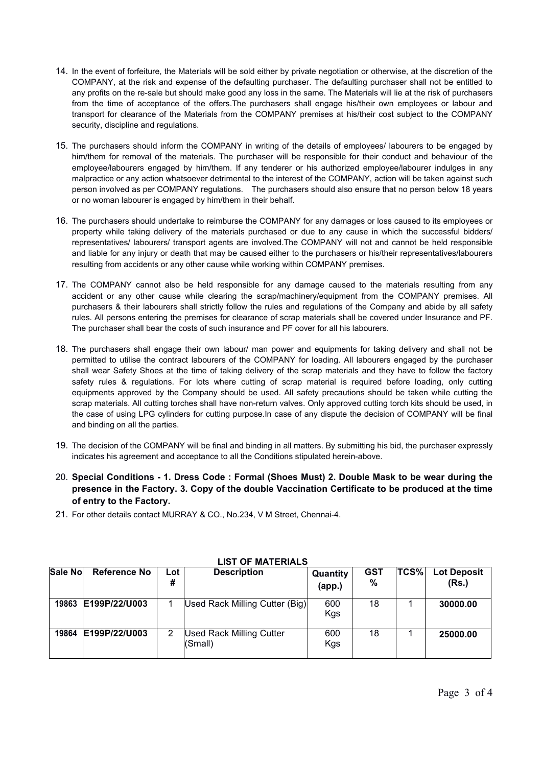- 14. In the event of forfeiture, the Materials will be sold either by private negotiation or otherwise, at the discretion of the COMPANY, at the risk and expense of the defaulting purchaser. The defaulting purchaser shall not be entitled to any profits on the re-sale but should make good any loss in the same. The Materials will lie at the risk of purchasers from the time of acceptance of the offers.The purchasers shall engage his/their own employees or labour and transport for clearance of the Materials from the COMPANY premises at his/their cost subject to the COMPANY security, discipline and regulations.
- 15. The purchasers should inform the COMPANY in writing of the details of employees/ labourers to be engaged by him/them for removal of the materials. The purchaser will be responsible for their conduct and behaviour of the employee/labourers engaged by him/them. If any tenderer or his authorized employee/labourer indulges in any malpractice or any action whatsoever detrimental to the interest of the COMPANY, action will be taken against such person involved as per COMPANY regulations. The purchasers should also ensure that no person below 18 years or no woman labourer is engaged by him/them in their behalf.
- 16. The purchasers should undertake to reimburse the COMPANY for any damages or loss caused to its employees or property while taking delivery of the materials purchased or due to any cause in which the successful bidders/ representatives/ labourers/ transport agents are involved.The COMPANY will not and cannot be held responsible and liable for any injury or death that may be caused either to the purchasers or his/their representatives/labourers resulting from accidents or any other cause while working within COMPANY premises.
- 17. The COMPANY cannot also be held responsible for any damage caused to the materials resulting from any accident or any other cause while clearing the scrap/machinery/equipment from the COMPANY premises. All purchasers & their labourers shall strictly follow the rules and regulations of the Company and abide by all safety rules. All persons entering the premises for clearance of scrap materials shall be covered under Insurance and PF. The purchaser shall bear the costs of such insurance and PF cover for all his labourers.
- 18. The purchasers shall engage their own labour/ man power and equipments for taking delivery and shall not be permitted to utilise the contract labourers of the COMPANY for loading. All labourers engaged by the purchaser shall wear Safety Shoes at the time of taking delivery of the scrap materials and they have to follow the factory safety rules & regulations. For lots where cutting of scrap material is required before loading, only cutting equipments approved by the Company should be used. All safety precautions should be taken while cutting the scrap materials. All cutting torches shall have non-return valves. Only approved cutting torch kits should be used, in the case of using LPG cylinders for cutting purpose.In case of any dispute the decision of COMPANY will be final and binding on all the parties.
- 19. The decision of the COMPANY will be final and binding in all matters. By submitting his bid, the purchaser expressly indicates his agreement and acceptance to all the Conditions stipulated herein-above.
- 20. **Special Conditions - 1. Dress Code : Formal (Shoes Must) 2. Double Mask to be wear during the presence in the Factory. 3. Copy of the double Vaccination Certificate to be produced at the time of entry to the Factory.**
- 21. For other details contact MURRAY & CO., No.234, V M Street, Chennai-4.

| Sale No | <b>Reference No</b> | Lot<br># | <b>Description</b>                         | Quantity<br>(app.) | <b>GST</b><br>% | TCS% | <b>Lot Deposit</b><br>(Rs.) |
|---------|---------------------|----------|--------------------------------------------|--------------------|-----------------|------|-----------------------------|
| 19863   | E199P/22/U003       |          | Used Rack Milling Cutter (Big)             | 600<br>Kgs         | 18              |      | 30000.00                    |
| 19864   | E199P/22/U003       | 2        | <b>Used Rack Milling Cutter</b><br>(Small) | 600<br>Kgs         | 18              |      | 25000.00                    |

#### **LIST OF MATERIALS**